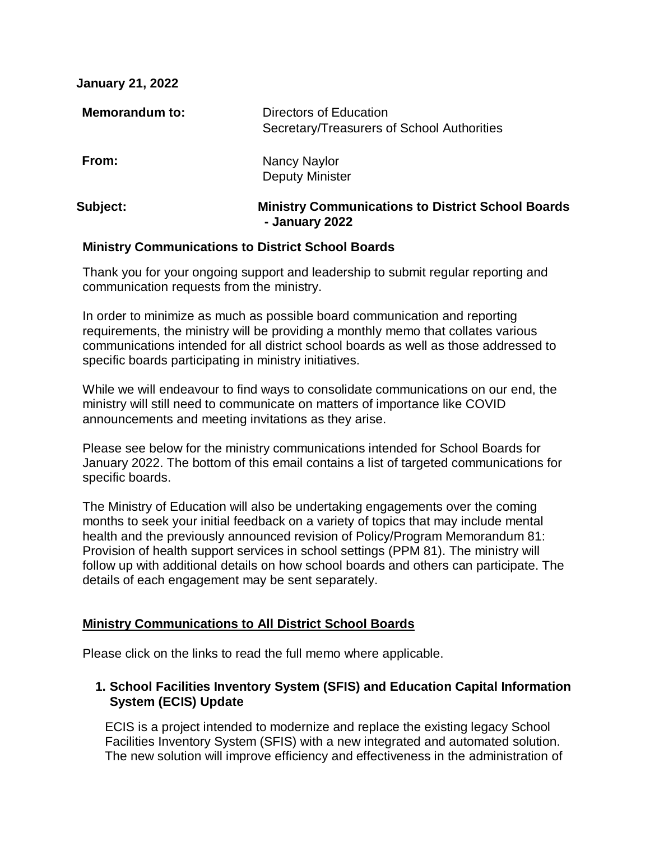| <b>January 21, 2022</b> |                                                                            |
|-------------------------|----------------------------------------------------------------------------|
| <b>Memorandum to:</b>   | Directors of Education<br>Secretary/Treasurers of School Authorities       |
| From:                   | Nancy Naylor<br><b>Deputy Minister</b>                                     |
| <b>Subject:</b>         | <b>Ministry Communications to District School Boards</b><br>- January 2022 |

#### **Ministry Communications to District School Boards**

Thank you for your ongoing support and leadership to submit regular reporting and communication requests from the ministry.

In order to minimize as much as possible board communication and reporting requirements, the ministry will be providing a monthly memo that collates various communications intended for all district school boards as well as those addressed to specific boards participating in ministry initiatives.

While we will endeavour to find ways to consolidate communications on our end, the ministry will still need to communicate on matters of importance like COVID announcements and meeting invitations as they arise.

Please see below for the ministry communications intended for School Boards for January 2022. The bottom of this email contains a list of targeted communications for specific boards.

The Ministry of Education will also be undertaking engagements over the coming months to seek your initial feedback on a variety of topics that may include mental health and the previously announced revision of Policy/Program Memorandum 81: Provision of health support services in school settings (PPM 81). The ministry will follow up with additional details on how school boards and others can participate. The details of each engagement may be sent separately.

# **Ministry Communications to All District School Boards**

Please click on the links to read the full memo where applicable.

# **1. School Facilities Inventory System (SFIS) and Education Capital Information System (ECIS) Update**

ECIS is a project intended to modernize and replace the existing legacy School Facilities Inventory System (SFIS) with a new integrated and automated solution. The new solution will improve efficiency and effectiveness in the administration of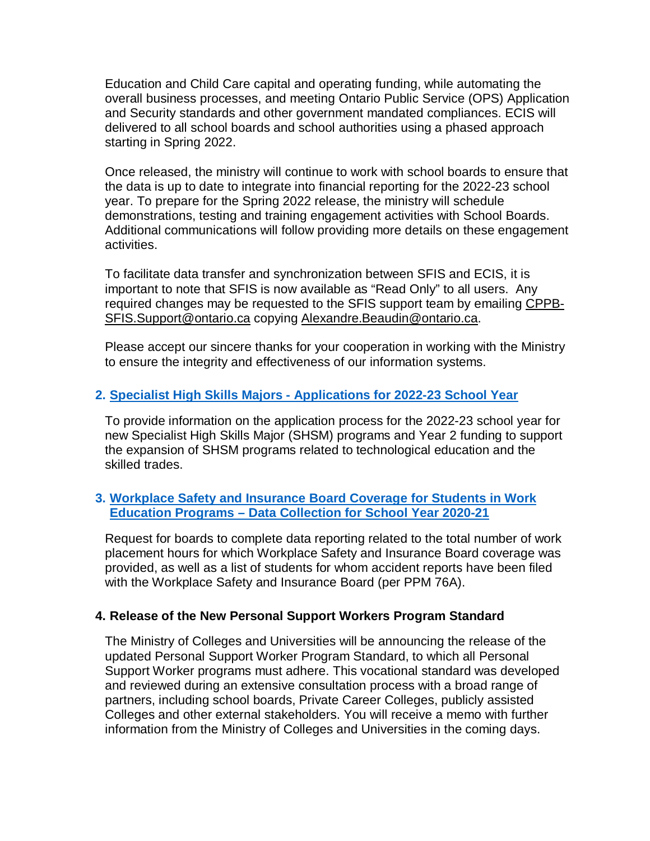Education and Child Care capital and operating funding, while automating the overall business processes, and meeting Ontario Public Service (OPS) Application and Security standards and other government mandated compliances. ECIS will delivered to all school boards and school authorities using a phased approach starting in Spring 2022.

Once released, the ministry will continue to work with school boards to ensure that the data is up to date to integrate into financial reporting for the 2022-23 school year. To prepare for the Spring 2022 release, the ministry will schedule demonstrations, testing and training engagement activities with School Boards. Additional communications will follow providing more details on these engagement activities.

To facilitate data transfer and synchronization between SFIS and ECIS, it is important to note that SFIS is now available as "Read Only" to all users. Any required changes may be requested to the SFIS support team by emailing [CPPB-](mailto:CPPB-SFIS.Support@ontario.ca)[SFIS.Support@ontario.ca](mailto:CPPB-SFIS.Support@ontario.ca) copying [Alexandre.Beaudin@ontario.ca.](mailto:Alexandre.Beaudin@ontario.ca)

Please accept our sincere thanks for your cooperation in working with the Ministry to ensure the integrity and effectiveness of our information systems.

### **2. Specialist High Skills Majors - [Applications for 2022-23 School Year](https://www.dropbox.com/s/hdohdhf44y3q78d/Specialist%20High%20Skills%20Major%20%28SHSM%29%202022-23%20Application%20Timelines%20.pdf?dl=0)**

To provide information on the application process for the 2022-23 school year for new Specialist High Skills Major (SHSM) programs and Year 2 funding to support the expansion of SHSM programs related to technological education and the skilled trades.

### **3. [Workplace Safety and Insurance Board Coverage for Students in Work](https://www.dropbox.com/s/pmk2zibocdkt97f/Workplace%20Safety%20and%20Insurance%20Board%20Coverage%20for%20Students%20in%20Work%20Education%20Programs.pdf?dl=0)  Education Programs – [Data Collection for School Year 2020-21](https://www.dropbox.com/s/pmk2zibocdkt97f/Workplace%20Safety%20and%20Insurance%20Board%20Coverage%20for%20Students%20in%20Work%20Education%20Programs.pdf?dl=0)**

Request for boards to complete data reporting related to the total number of work placement hours for which Workplace Safety and Insurance Board coverage was provided, as well as a list of students for whom accident reports have been filed with the Workplace Safety and Insurance Board (per PPM 76A).

#### **4. Release of the New Personal Support Workers Program Standard**

The Ministry of Colleges and Universities will be announcing the release of the updated Personal Support Worker Program Standard, to which all Personal Support Worker programs must adhere. This vocational standard was developed and reviewed during an extensive consultation process with a broad range of partners, including school boards, Private Career Colleges, publicly assisted Colleges and other external stakeholders. You will receive a memo with further information from the Ministry of Colleges and Universities in the coming days.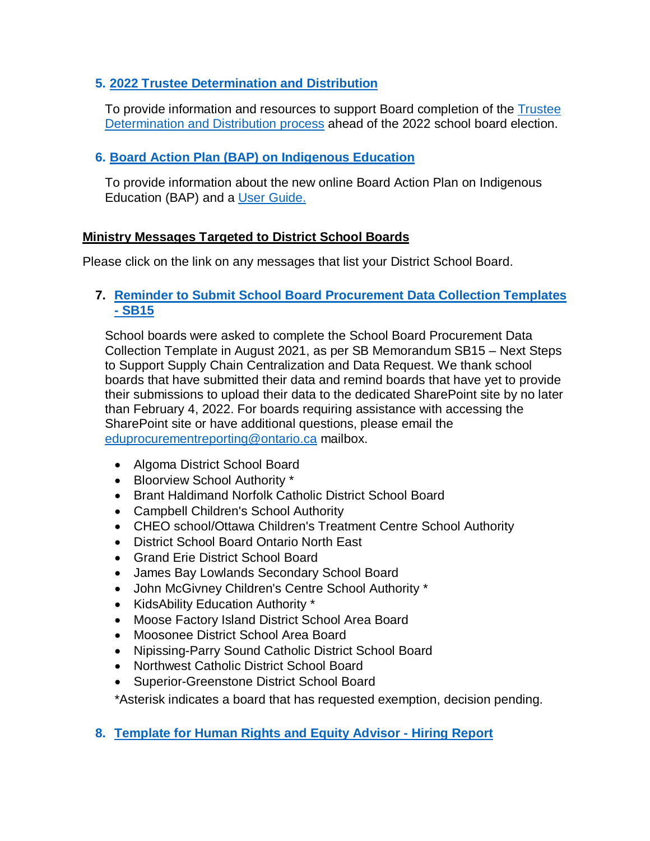### **5. [2022 Trustee Determination and Distribution](https://www.dropbox.com/s/j87uij8cytk3ara/Memo%20to%20Directors%20re%20Trustee%20Determination%20and%20Distribution_EN.pdf?dl=0)**

To provide information and resources to support Board completion of the [Trustee](https://www.ontario.ca/page/trustee-determination-and-distribution-guide)  [Determination and Distribution process](https://www.ontario.ca/page/trustee-determination-and-distribution-guide) ahead of the 2022 school board election.

# **6. [Board Action Plan \(BAP\) on Indigenous Education](https://www.dropbox.com/s/7yzcpn6wkwzmobl/2021-2022%20BAP%20Distribution%20memo%20-%20ADM%20Version%20-%20English.pdf?dl=0)**

To provide information about the new online Board Action Plan on Indigenous Education (BAP) and a [User Guide.](https://www.dropbox.com/s/9kq27fjidcrzbrt/2021-22%20BAP%20USER%20GUIDE.pdf?dl=0)

### **Ministry Messages Targeted to District School Boards**

Please click on the link on any messages that list your District School Board.

#### **7. [Reminder to Submit School Board Procurement Data Collection Templates](https://www.dropbox.com/scl/fi/l8eck8hjqzt7ggi7usv3j/School-Board-Procurement-Data-Collection-SB15_Attach1_EN.xlsx?dl=0&rlkey=8t7665pc97szv52caxmw3oiae)  - [SB15](https://www.dropbox.com/scl/fi/l8eck8hjqzt7ggi7usv3j/School-Board-Procurement-Data-Collection-SB15_Attach1_EN.xlsx?dl=0&rlkey=8t7665pc97szv52caxmw3oiae)**

School boards were asked to complete the School Board Procurement Data Collection Template in August 2021, as per SB Memorandum SB15 – Next Steps to Support Supply Chain Centralization and Data Request. We thank school boards that have submitted their data and remind boards that have yet to provide their submissions to upload their data to the dedicated SharePoint site by no later than February 4, 2022. For boards requiring assistance with accessing the SharePoint site or have additional questions, please email the [eduprocurementreporting@ontario.ca](mailto:eduprocurementreporting@ontario.ca) mailbox.

- Algoma District School Board
- Bloorview School Authority \*
- Brant Haldimand Norfolk Catholic District School Board
- Campbell Children's School Authority
- CHEO school/Ottawa Children's Treatment Centre School Authority
- District School Board Ontario North East
- Grand Erie District School Board
- James Bay Lowlands Secondary School Board
- John McGivney Children's Centre School Authority \*
- KidsAbility Education Authority \*
- Moose Factory Island District School Area Board
- Moosonee District School Area Board
- Nipissing-Parry Sound Catholic District School Board
- Northwest Catholic District School Board
- Superior-Greenstone District School Board

\*Asterisk indicates a board that has requested exemption, decision pending.

**8. [Template for Human Rights and Equity Advisor -](https://www.dropbox.com/scl/fi/rzbrb1pfhd7pe45s83bug/Hiring-report-template-2021-2022-EN-EES.docx?dl=0&rlkey=dbgn4ittdaan9vjrmwdgtwo5a) Hiring Report**